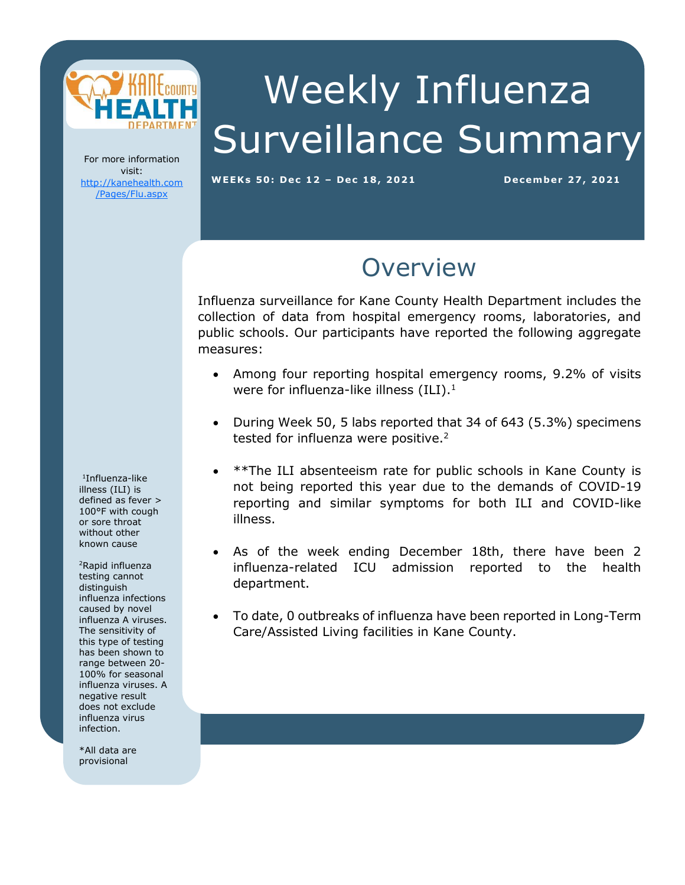

# Weekly Influenza Surveillance Summary

For more information visit: [http://kanehealth.com](http://kanehealth.com/Pages/Flu.aspx) [/Pages/Flu.aspx](http://kanehealth.com/Pages/Flu.aspx)

**WEEKs 5 0: De c 1 2 – De c 18, 2 0 2 1 De cembe r 2 7, 2 0 21**

#### **Overview**

Influenza surveillance for Kane County Health Department includes the collection of data from hospital emergency rooms, laboratories, and public schools. Our participants have reported the following aggregate measures:

- Among four reporting hospital emergency rooms, 9.2% of visits were for influenza-like illness  $(ILI).<sup>1</sup>$
- During Week 50, 5 labs reported that 34 of 643 (5.3%) specimens tested for influenza were positive.<sup>2</sup>
- \*\*The ILI absenteeism rate for public schools in Kane County is not being reported this year due to the demands of COVID-19 reporting and similar symptoms for both ILI and COVID-like illness.
- As of the week ending December 18th, there have been 2 influenza-related ICU admission reported to the health department.
- To date, 0 outbreaks of influenza have been reported in Long-Term Care/Assisted Living facilities in Kane County.

laboratories, individual schools, and school districts that provide the

data that make this monitoring possible.

1 Influenza-like illness (ILI) is defined as fever > 100°F with cough or sore throat without other known cause

<sup>2</sup>Rapid influenza testing cannot distinguish influenza infections caused by novel influenza A viruses. The sensitivity of this type of testing has been shown to range between 20- 100% for seasonal influenza viruses. A negative result does not exclude influenza virus infection.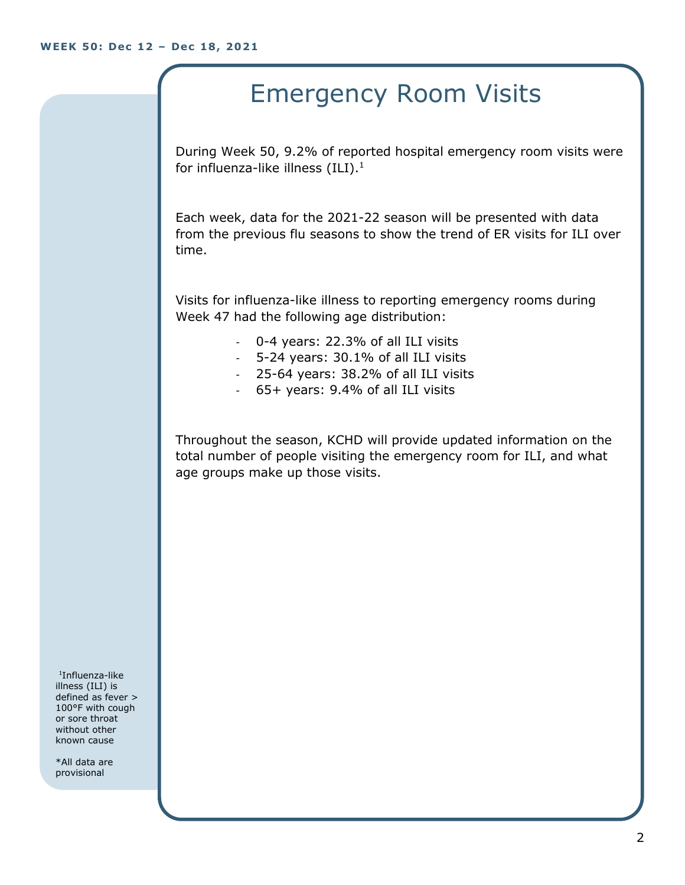### Emergency Room Visits

During Week 50, 9.2% of reported hospital emergency room visits were for influenza-like illness  $(III).<sup>1</sup>$ 

Each week, data for the 2021-22 season will be presented with data from the previous flu seasons to show the trend of ER visits for ILI over time.

Visits for influenza-like illness to reporting emergency rooms during Week 47 had the following age distribution:

- 0-4 years: 22.3% of all ILI visits
- 5-24 years: 30.1% of all ILI visits
- 25-64 years: 38.2% of all ILI visits
- 65+ years: 9.4% of all ILI visits

Throughout the season, KCHD will provide updated information on the total number of people visiting the emergency room for ILI, and what age groups make up those visits.

1 Influenza-like illness (ILI) is defined as fever > 100°F with cough or sore throat without other known cause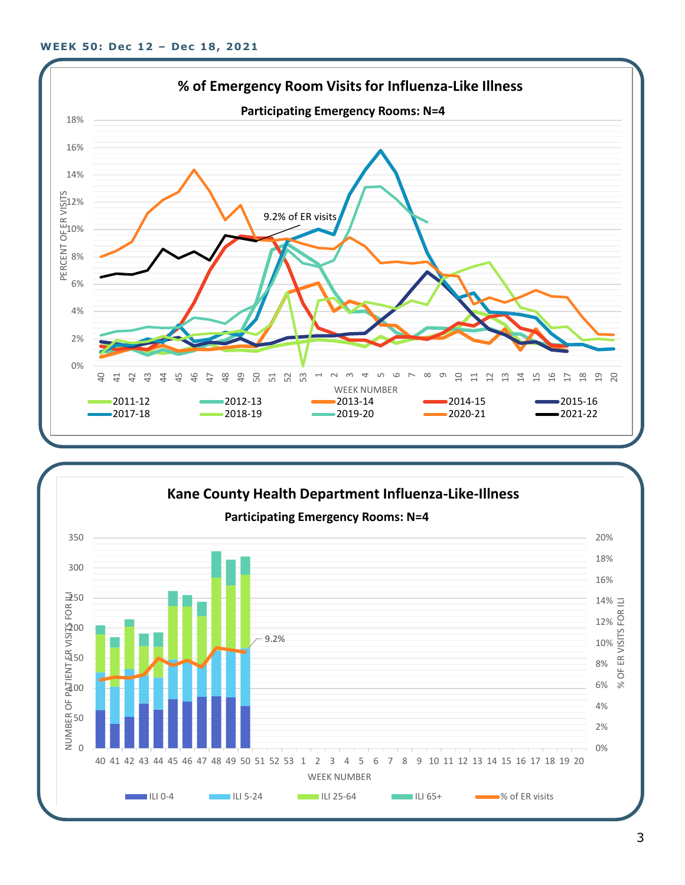

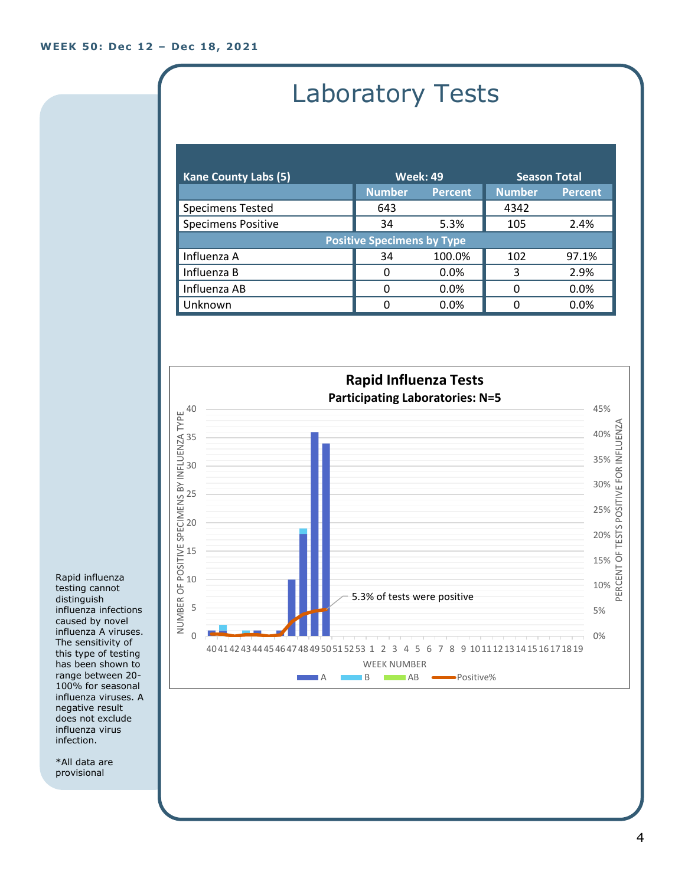## Laboratory Tests

| <b>Kane County Labs (5)</b>       | <b>Week: 49</b> |                | <b>Season Total</b> |                |  |
|-----------------------------------|-----------------|----------------|---------------------|----------------|--|
|                                   | <b>Number</b>   | <b>Percent</b> | <b>Number</b>       | <b>Percent</b> |  |
| <b>Specimens Tested</b>           | 643             |                | 4342                |                |  |
| <b>Specimens Positive</b>         | 34              | 5.3%           | 105                 | 2.4%           |  |
| <b>Positive Specimens by Type</b> |                 |                |                     |                |  |
| Influenza A                       | 34              | 100.0%         | 102                 | 97.1%          |  |
| Influenza B                       | 0               | $0.0\%$        | 3                   | 2.9%           |  |
| Influenza AB                      | O               | 0.0%           | 0                   | 0.0%           |  |
| Unknown                           | O               | 0.0%           | U                   | 0.0%           |  |



Rapid influenza testing cannot distinguish influenza infections caused by novel influenza A viruses. The sensitivity of this type of testing has been shown to range between 20- 100% for seasonal influenza viruses. A negative result does not exclude influenza virus infection.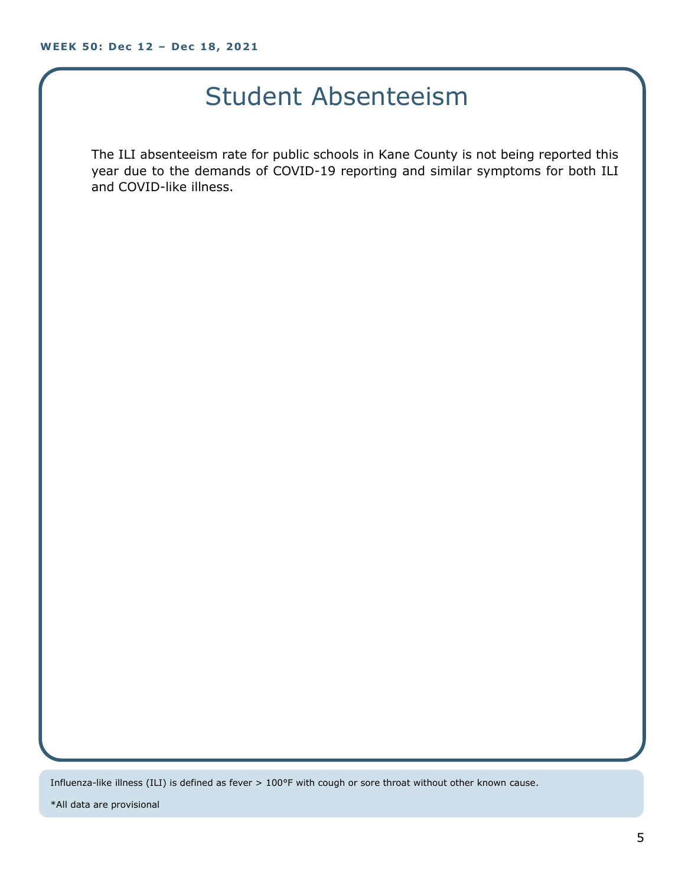#### Student Absenteeism

The ILI absenteeism rate for public schools in Kane County is not being reported this year due to the demands of COVID-19 reporting and similar symptoms for both ILI and COVID-like illness.

Influenza-like illness (ILI) is defined as fever > 100°F with cough or sore throat without other known cause.